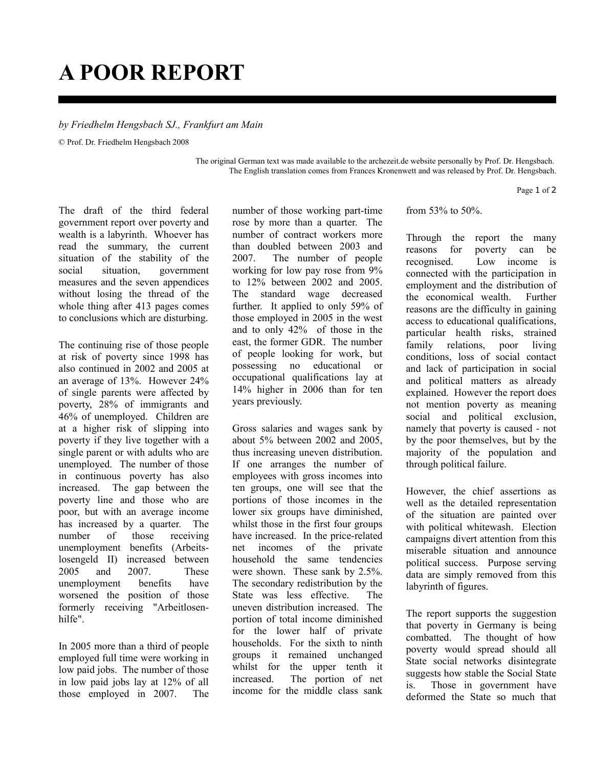## **A POOR REPORT**

## *by Friedhelm Hengsbach SJ., Frankfurt am Main*

© Prof. Dr. Friedhelm Hengsbach 2008

The original German text was made available to the archezeit.de website personally by Prof. Dr. Hengsbach. The English translation comes from Frances Kronenwett and was released by Prof. Dr. Hengsbach.

Page 1 of 2

The draft of the third federal government report over poverty and wealth is a labyrinth. Whoever has read the summary, the current situation of the stability of the social situation, government measures and the seven appendices without losing the thread of the whole thing after 413 pages comes to conclusions which are disturbing.

The continuing rise of those people at risk of poverty since 1998 has also continued in 2002 and 2005 at an average of 13%. However 24% of single parents were affected by poverty, 28% of immigrants and 46% of unemployed. Children are at a higher risk of slipping into poverty if they live together with a single parent or with adults who are unemployed. The number of those in continuous poverty has also increased. The gap between the poverty line and those who are poor, but with an average income has increased by a quarter. The number of those receiving unemployment benefits (Arbeitslosengeld II) increased between 2005 and 2007. These unemployment benefits have worsened the position of those formerly receiving "Arbeitlosenhilfe".

In 2005 more than a third of people employed full time were working in low paid jobs. The number of those in low paid jobs lay at 12% of all those employed in 2007. The number of those working part-time rose by more than a quarter. The number of contract workers more than doubled between 2003 and 2007. The number of people working for low pay rose from 9% to 12% between 2002 and 2005. The standard wage decreased further. It applied to only 59% of those employed in 2005 in the west and to only 42% of those in the east, the former GDR. The number of people looking for work, but possessing no educational or occupational qualifications lay at 14% higher in 2006 than for ten years previously.

Gross salaries and wages sank by about 5% between 2002 and 2005, thus increasing uneven distribution. If one arranges the number of employees with gross incomes into ten groups, one will see that the portions of those incomes in the lower six groups have diminished, whilst those in the first four groups have increased. In the price-related net incomes of the private household the same tendencies were shown. These sank by 2.5%. The secondary redistribution by the State was less effective. The uneven distribution increased. The portion of total income diminished for the lower half of private households. For the sixth to ninth groups it remained unchanged whilst for the upper tenth it increased. The portion of net income for the middle class sank

from 53% to 50%.

Through the report the many reasons for poverty can be recognised. Low income is connected with the participation in employment and the distribution of the economical wealth. Further reasons are the difficulty in gaining access to educational qualifications, particular health risks, strained family relations, poor living conditions, loss of social contact and lack of participation in social and political matters as already explained. However the report does not mention poverty as meaning social and political exclusion, namely that poverty is caused - not by the poor themselves, but by the majority of the population and through political failure.

However, the chief assertions as well as the detailed representation of the situation are painted over with political whitewash. Election campaigns divert attention from this miserable situation and announce political success. Purpose serving data are simply removed from this labyrinth of figures.

The report supports the suggestion that poverty in Germany is being combatted. The thought of how poverty would spread should all State social networks disintegrate suggests how stable the Social State is. Those in government have deformed the State so much that